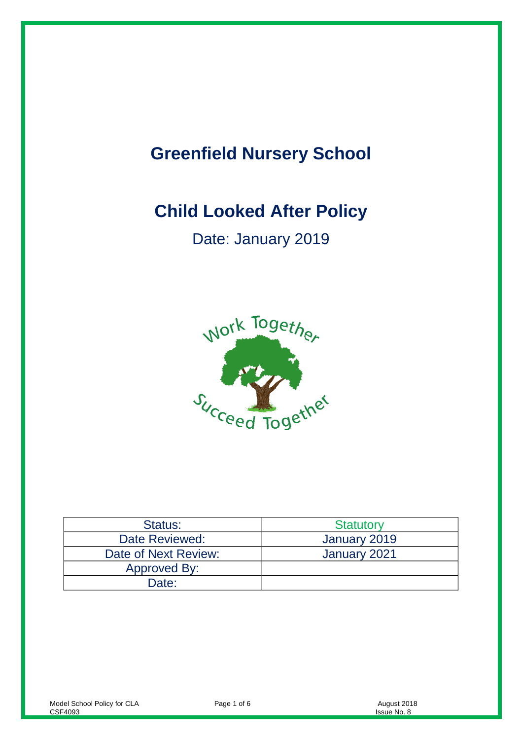# **Greenfield Nursery School**

# **Child Looked After Policy**

Date: January 2019



| Status:              | <b>Statutory</b> |
|----------------------|------------------|
| Date Reviewed:       | January 2019     |
| Date of Next Review: | January 2021     |
| Approved By:         |                  |
| Date:                |                  |

Page 1 of 6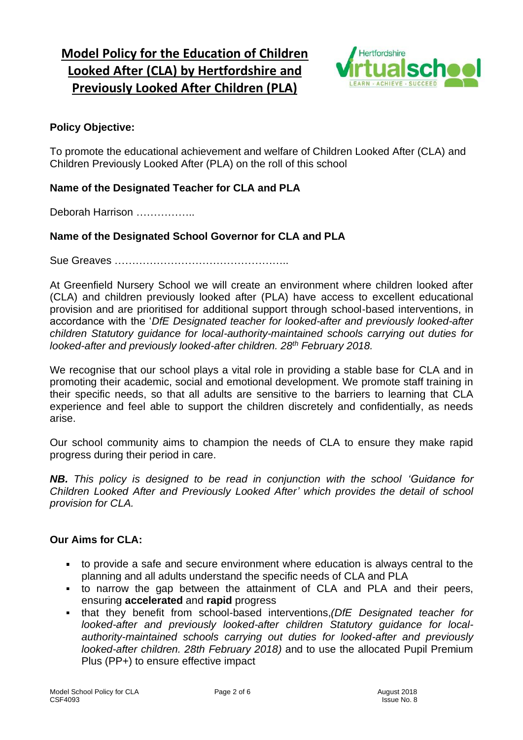# **Model Policy for the Education of Children Looked After (CLA) by Hertfordshire and Previously Looked After Children (PLA)**



### **Policy Objective:**

To promote the educational achievement and welfare of Children Looked After (CLA) and Children Previously Looked After (PLA) on the roll of this school

#### **Name of the Designated Teacher for CLA and PLA**

Deborah Harrison …………….

#### **Name of the Designated School Governor for CLA and PLA**

Sue Greaves …………………………………………..

At Greenfield Nursery School we will create an environment where children looked after (CLA) and children previously looked after (PLA) have access to excellent educational provision and are prioritised for additional support through school-based interventions, in accordance with the '*DfE Designated teacher for looked-after and previously looked-after children Statutory guidance for local-authority-maintained schools carrying out duties for looked-after and previously looked-after children. 28th February 2018.*

We recognise that our school plays a vital role in providing a stable base for CLA and in promoting their academic, social and emotional development. We promote staff training in their specific needs, so that all adults are sensitive to the barriers to learning that CLA experience and feel able to support the children discretely and confidentially, as needs arise.

Our school community aims to champion the needs of CLA to ensure they make rapid progress during their period in care.

*NB. This policy is designed to be read in conjunction with the school 'Guidance for Children Looked After and Previously Looked After' which provides the detail of school provision for CLA.*

#### **Our Aims for CLA:**

- to provide a safe and secure environment where education is always central to the planning and all adults understand the specific needs of CLA and PLA
- to narrow the gap between the attainment of CLA and PLA and their peers, ensuring **accelerated** and **rapid** progress
- that they benefit from school-based interventions,*(DfE Designated teacher for*   $\mathbf{r}$ *looked-after and previously looked-after children Statutory guidance for localauthority-maintained schools carrying out duties for looked-after and previously looked-after children. 28th February 2018)* and to use the allocated Pupil Premium Plus (PP+) to ensure effective impact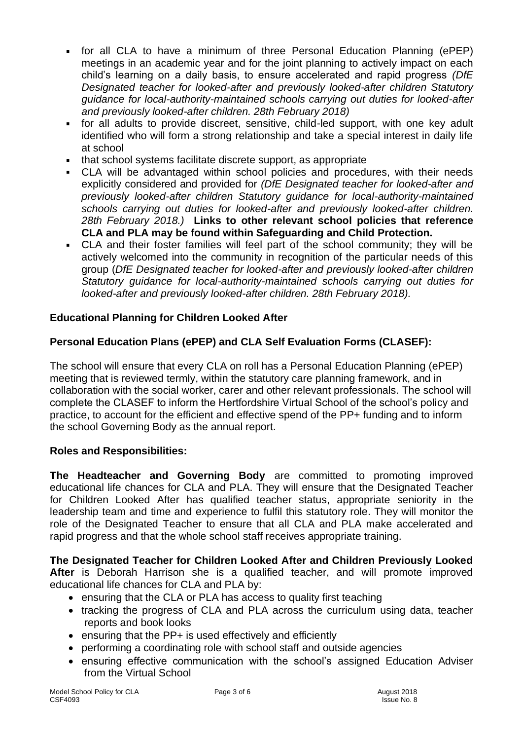- for all CLA to have a minimum of three Personal Education Planning (ePEP) meetings in an academic year and for the joint planning to actively impact on each child's learning on a daily basis, to ensure accelerated and rapid progress *(DfE Designated teacher for looked-after and previously looked-after children Statutory guidance for local-authority-maintained schools carrying out duties for looked-after and previously looked-after children. 28th February 2018)*
- for all adults to provide discreet, sensitive, child-led support, with one key adult  $\mathbf{r}$ identified who will form a strong relationship and take a special interest in daily life at school
- that school systems facilitate discrete support, as appropriate
- CLA will be advantaged within school policies and procedures, with their needs explicitly considered and provided for *(DfE Designated teacher for looked-after and previously looked-after children Statutory guidance for local-authority-maintained schools carrying out duties for looked-after and previously looked-after children. 28th February 2018.)* **Links to other relevant school policies that reference CLA and PLA may be found within Safeguarding and Child Protection.**
- CLA and their foster families will feel part of the school community; they will be actively welcomed into the community in recognition of the particular needs of this group (*DfE Designated teacher for looked-after and previously looked-after children Statutory guidance for local-authority-maintained schools carrying out duties for looked-after and previously looked-after children. 28th February 2018).*

# **Educational Planning for Children Looked After**

# **Personal Education Plans (ePEP) and CLA Self Evaluation Forms (CLASEF):**

The school will ensure that every CLA on roll has a Personal Education Planning (ePEP) meeting that is reviewed termly, within the statutory care planning framework, and in collaboration with the social worker, carer and other relevant professionals. The school will complete the CLASEF to inform the Hertfordshire Virtual School of the school's policy and practice, to account for the efficient and effective spend of the PP+ funding and to inform the school Governing Body as the annual report.

# **Roles and Responsibilities:**

**The Headteacher and Governing Body** are committed to promoting improved educational life chances for CLA and PLA. They will ensure that the Designated Teacher for Children Looked After has qualified teacher status, appropriate seniority in the leadership team and time and experience to fulfil this statutory role. They will monitor the role of the Designated Teacher to ensure that all CLA and PLA make accelerated and rapid progress and that the whole school staff receives appropriate training.

**The Designated Teacher for Children Looked After and Children Previously Looked After** is Deborah Harrison she is a qualified teacher, and will promote improved educational life chances for CLA and PLA by:

- ensuring that the CLA or PLA has access to quality first teaching
- tracking the progress of CLA and PLA across the curriculum using data, teacher reports and book looks
- ensuring that the PP+ is used effectively and efficiently
- performing a coordinating role with school staff and outside agencies
- ensuring effective communication with the school's assigned Education Adviser from the Virtual School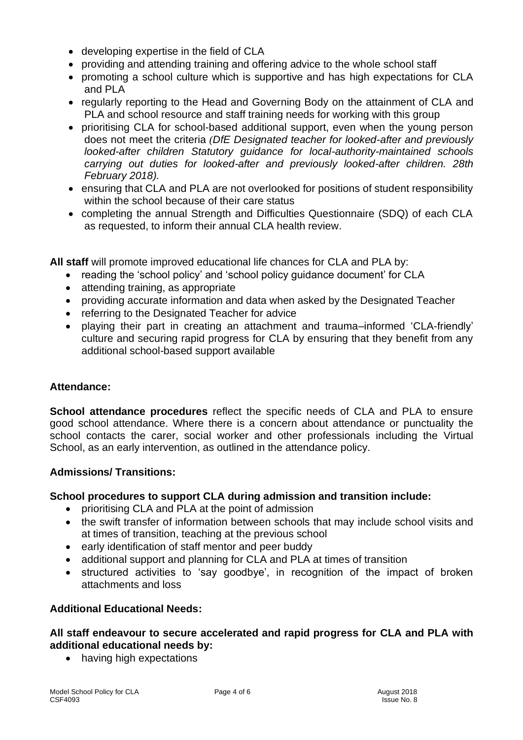- developing expertise in the field of CLA
- providing and attending training and offering advice to the whole school staff
- promoting a school culture which is supportive and has high expectations for CLA and PLA
- regularly reporting to the Head and Governing Body on the attainment of CLA and PLA and school resource and staff training needs for working with this group
- prioritising CLA for school-based additional support, even when the young person does not meet the criteria *(DfE Designated teacher for looked-after and previously looked-after children Statutory guidance for local-authority-maintained schools carrying out duties for looked-after and previously looked-after children. 28th February 2018).*
- ensuring that CLA and PLA are not overlooked for positions of student responsibility within the school because of their care status
- completing the annual Strength and Difficulties Questionnaire (SDQ) of each CLA as requested, to inform their annual CLA health review.

**All staff** will promote improved educational life chances for CLA and PLA by:

- reading the 'school policy' and 'school policy guidance document' for CLA
- attending training, as appropriate
- providing accurate information and data when asked by the Designated Teacher
- referring to the Designated Teacher for advice
- playing their part in creating an attachment and trauma–informed 'CLA-friendly' culture and securing rapid progress for CLA by ensuring that they benefit from any additional school-based support available

#### **Attendance:**

**School attendance procedures** reflect the specific needs of CLA and PLA to ensure good school attendance. Where there is a concern about attendance or punctuality the school contacts the carer, social worker and other professionals including the Virtual School, as an early intervention, as outlined in the attendance policy.

#### **Admissions/ Transitions:**

#### **School procedures to support CLA during admission and transition include:**

- prioritising CLA and PLA at the point of admission
- the swift transfer of information between schools that may include school visits and at times of transition, teaching at the previous school
- early identification of staff mentor and peer buddy
- additional support and planning for CLA and PLA at times of transition
- structured activities to 'say goodbye', in recognition of the impact of broken attachments and loss

#### **Additional Educational Needs:**

#### **All staff endeavour to secure accelerated and rapid progress for CLA and PLA with additional educational needs by:**

• having high expectations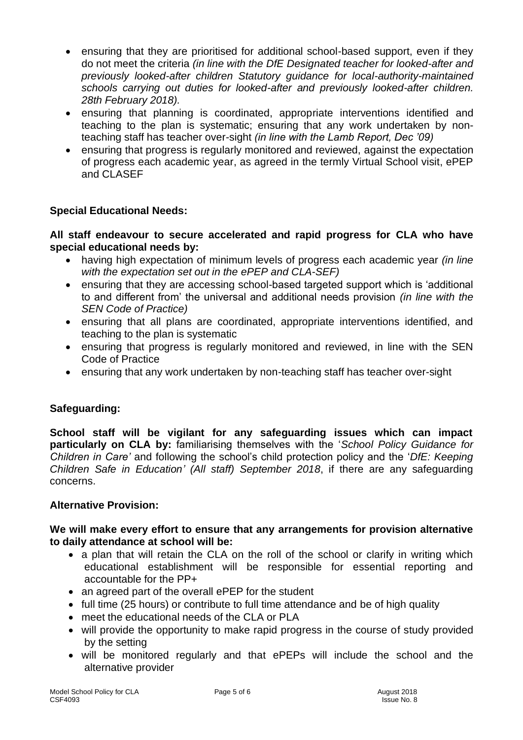- ensuring that they are prioritised for additional school-based support, even if they do not meet the criteria *(in line with the DfE Designated teacher for looked-after and previously looked-after children Statutory guidance for local-authority-maintained schools carrying out duties for looked-after and previously looked-after children. 28th February 2018).*
- ensuring that planning is coordinated, appropriate interventions identified and teaching to the plan is systematic; ensuring that any work undertaken by nonteaching staff has teacher over-sight *(in line with the Lamb Report, Dec '09)*
- ensuring that progress is regularly monitored and reviewed, against the expectation of progress each academic year, as agreed in the termly Virtual School visit, ePEP and CLASEF

# **Special Educational Needs:**

#### **All staff endeavour to secure accelerated and rapid progress for CLA who have special educational needs by:**

- having high expectation of minimum levels of progress each academic year *(in line with the expectation set out in the ePEP and CLA-SEF)*
- ensuring that they are accessing school-based targeted support which is 'additional to and different from' the universal and additional needs provision *(in line with the SEN Code of Practice)*
- ensuring that all plans are coordinated, appropriate interventions identified, and teaching to the plan is systematic
- ensuring that progress is regularly monitored and reviewed, in line with the SEN Code of Practice
- ensuring that any work undertaken by non-teaching staff has teacher over-sight

# **Safeguarding:**

**School staff will be vigilant for any safeguarding issues which can impact particularly on CLA by:** familiarising themselves with the '*School Policy Guidance for Children in Care'* and following the school's child protection policy and the '*DfE: Keeping Children Safe in Education' (All staff) September 2018*, if there are any safeguarding concerns.

# **Alternative Provision:**

#### **We will make every effort to ensure that any arrangements for provision alternative to daily attendance at school will be:**

- a plan that will retain the CLA on the roll of the school or clarify in writing which educational establishment will be responsible for essential reporting and accountable for the PP+
- an agreed part of the overall ePEP for the student
- full time (25 hours) or contribute to full time attendance and be of high quality
- meet the educational needs of the CLA or PLA
- will provide the opportunity to make rapid progress in the course of study provided by the setting
- will be monitored regularly and that ePEPs will include the school and the alternative provider